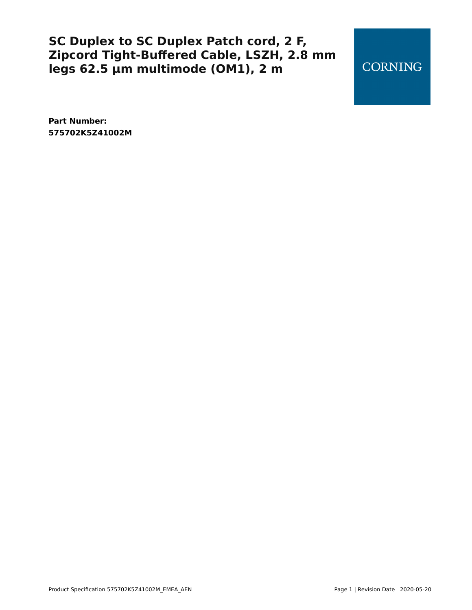**CORNING** 

**Part Number: 575702K5Z41002M**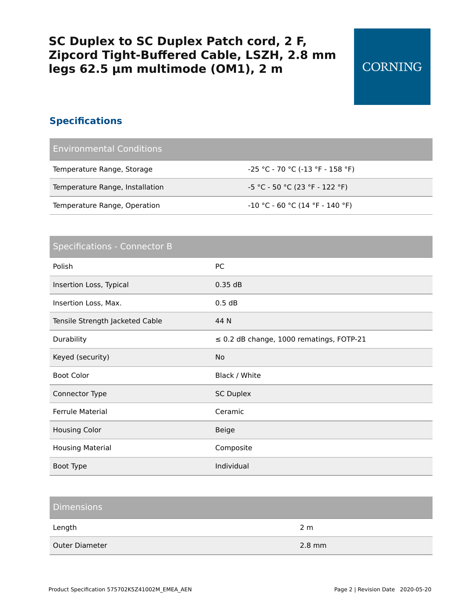#### **Specifications**

Environmental Conditions

| Temperature Range, Storage      | -25 °C - 70 °C (-13 °F - 158 °F)  |
|---------------------------------|-----------------------------------|
| Temperature Range, Installation | -5 °C - 50 °C (23 °F - 122 °F)    |
| Temperature Range, Operation    | $-10$ °C - 60 °C (14 °F - 140 °F) |

#### Specifications - Connector B

| Polish                          | PC                                            |
|---------------------------------|-----------------------------------------------|
| Insertion Loss, Typical         | 0.35 dB                                       |
| Insertion Loss, Max.            | 0.5 dB                                        |
| Tensile Strength Jacketed Cable | 44 N                                          |
| Durability                      | $\leq$ 0.2 dB change, 1000 rematings, FOTP-21 |
| Keyed (security)                | <b>No</b>                                     |
| <b>Boot Color</b>               | Black / White                                 |
| Connector Type                  | <b>SC Duplex</b>                              |
| <b>Ferrule Material</b>         | Ceramic                                       |
| <b>Housing Color</b>            | <b>Beige</b>                                  |
| <b>Housing Material</b>         | Composite                                     |
| Boot Type                       | Individual                                    |

| <b>Dimensions</b> |                  |
|-------------------|------------------|
| Length            | 2 <sub>m</sub>   |
| Outer Diameter    | $2.8 \text{ mm}$ |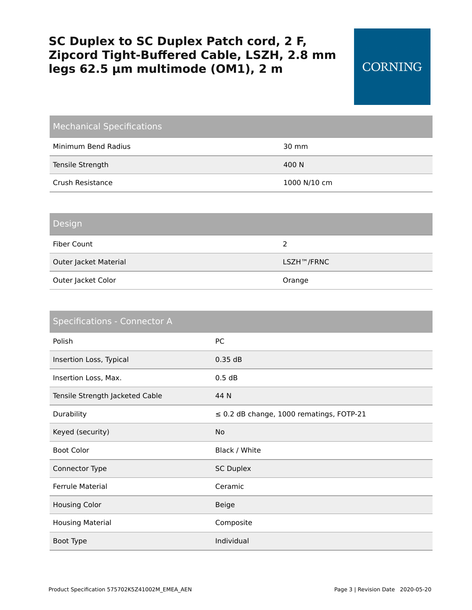| <b>Mechanical Specifications</b> |                 |
|----------------------------------|-----------------|
| Minimum Bend Radius              | $30 \text{ mm}$ |
| Tensile Strength                 | 400 N           |
| Crush Resistance                 | 1000 N/10 cm    |
|                                  |                 |

#### Design

| Fiber Count           | ר          |
|-----------------------|------------|
| Outer Jacket Material | LSZH™/FRNC |
| Outer Jacket Color    | Orange     |

| <b>Specifications - Connector A</b> |                                               |  |
|-------------------------------------|-----------------------------------------------|--|
| Polish                              | PC                                            |  |
| Insertion Loss, Typical             | 0.35 dB                                       |  |
| Insertion Loss, Max.                | 0.5 dB                                        |  |
| Tensile Strength Jacketed Cable     | 44 N                                          |  |
| Durability                          | $\leq$ 0.2 dB change, 1000 rematings, FOTP-21 |  |
| Keyed (security)                    | <b>No</b>                                     |  |
| <b>Boot Color</b>                   | Black / White                                 |  |
| Connector Type                      | <b>SC Duplex</b>                              |  |
| <b>Ferrule Material</b>             | Ceramic                                       |  |
| <b>Housing Color</b>                | <b>Beige</b>                                  |  |
| <b>Housing Material</b>             | Composite                                     |  |
| Boot Type                           | Individual                                    |  |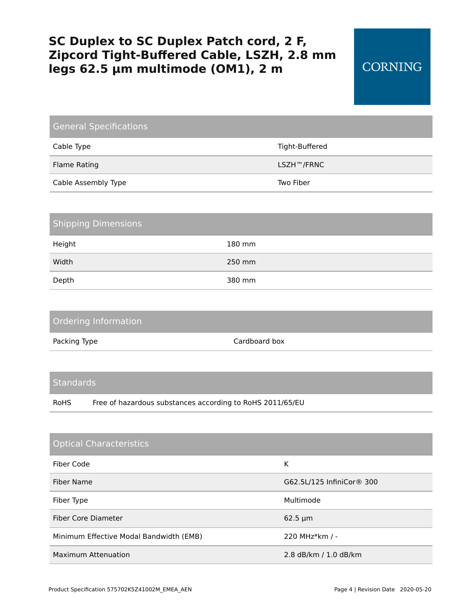| General Specifications |                |  |
|------------------------|----------------|--|
| Cable Type             | Tight-Buffered |  |
| Flame Rating           | LSZH™/FRNC     |  |
| Cable Assembly Type    | Two Fiber      |  |

| <b>Shipping Dimensions</b> |        |  |
|----------------------------|--------|--|
| Height                     | 180 mm |  |
| Width                      | 250 mm |  |
| Depth                      | 380 mm |  |

| Ordering Information |               |
|----------------------|---------------|
| Packing Type         | Cardboard box |

#### **Standards**

RoHS Free of hazardous substances according to RoHS 2011/65/EU

| <b>Optical Characteristics</b>          |                                       |
|-----------------------------------------|---------------------------------------|
| Fiber Code                              | К                                     |
| Fiber Name                              | G62.5L/125 InfiniCor <sup>®</sup> 300 |
| Fiber Type                              | Multimode                             |
| Fiber Core Diameter                     | $62.5 \mu m$                          |
| Minimum Effective Modal Bandwidth (EMB) | 220 MHz * km / -                      |
| <b>Maximum Attenuation</b>              | 2.8 dB/km / 1.0 dB/km                 |